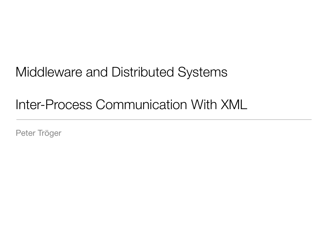## Middleware and Distributed Systems

Inter-Process Communication With XML

Peter Tröger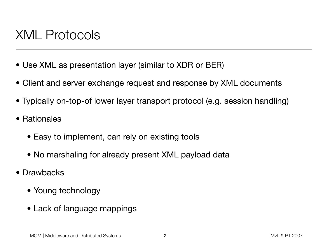## XML Protocols

- Use XML as presentation layer (similar to XDR or BER)
- Client and server exchange request and response by XML documents
- Typically on-top-of lower layer transport protocol (e.g. session handling)
- Rationales
	- Easy to implement, can rely on existing tools
	- No marshaling for already present XML payload data
- Drawbacks
	- Young technology
	- Lack of language mappings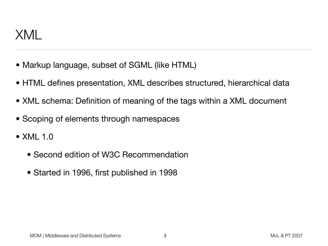

- Markup language, subset of SGML (like HTML)
- HTML defines presentation, XML describes structured, hierarchical data
- XML schema: Definition of meaning of the tags within a XML document
- Scoping of elements through namespaces
- XML 1.0
	- Second edition of W3C Recommendation
	- Started in 1996, first published in 1998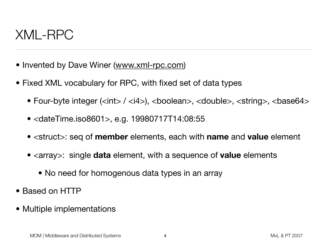#### XML-RPC

- Invented by Dave Winer [\(www.xml-rpc.com\)](http://www.xml-rpc.com)
- Fixed XML vocabulary for RPC, with fixed set of data types
	- Four-byte integer (<int> / <i4>), <boolean>, <double>, <string>, <br/> <br/>stase64>
	- <dateTime.iso8601>, e.g. 19980717T14:08:55
	- <struct>: seq of **member** elements, each with **name** and **value** element
	- <array>: single **data** element, with a sequence of **value** elements
		- No need for homogenous data types in an array
- Based on HTTP
- Multiple implementations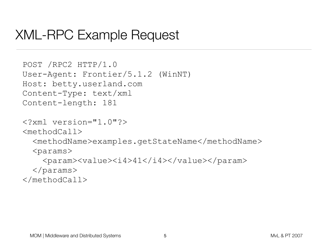#### XML-RPC Example Request

```
POST /RPC2 HTTP/1.0
User-Agent: Frontier/5.1.2 (WinNT)
Host: betty.userland.com
Content-Type: text/xml
Content-length: 181
```

```
<?xml version="1.0"?>
```
<methodCall>

<methodName>examples.getStateName</methodName>

 $<$ params $>$ 

```
 <param><value><i4>41</i4></value></param>
```
</params>

```
</methodCall>
```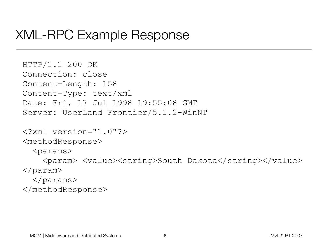#### XML-RPC Example Response

```
HTTP/1.1 200 OK 
Connection: close 
Content-Length: 158 
Content-Type: text/xml 
Date: Fri, 17 Jul 1998 19:55:08 GMT 
Server: UserLand Frontier/5.1.2-WinNT
```

```
<?xml version="1.0"?>
```

```
<methodResponse>
```

```
<params>
```
<param> <value><string>South Dakota</string></value> </param> </params>

</methodResponse>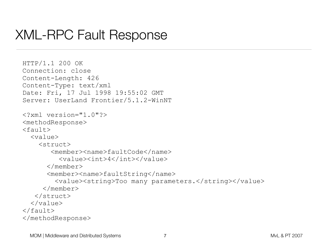#### XML-RPC Fault Response

```
HTTP/1.1 200 OK 
Connection: close 
Content-Length: 426 
Content-Type: text/xml 
Date: Fri, 17 Jul 1998 19:55:02 GMT 
Server: UserLand Frontier/5.1.2-WinNT
<?xml version="1.0"?> 
<methodResponse> 
<fault> 
   <value> 
     <struct> 
         <member><name>faultCode</name> 
           <value><int>4</int></value> 
       </member> 
      <member><name>faultString</name>
          <value><string>Too many parameters.</string></value> 
      </member> 
    </struct> 
  \langle/value>
\langle (fault>
</methodResponse>
```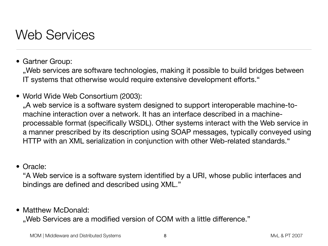## Web Services

• Gartner Group:

, Web services are software technologies, making it possible to build bridges between IT systems that otherwise would require extensive development efforts."

• World Wide Web Consortium (2003):

"A web service is a software system designed to support interoperable machine-tomachine interaction over a network. It has an interface described in a machineprocessable format (specifically WSDL). Other systems interact with the Web service in a manner prescribed by its description using SOAP messages, typically conveyed using HTTP with an XML serialization in conjunction with other Web-related standards."

• Oracle:

"A Web service is a software system identified by a URI, whose public interfaces and bindings are defined and described using XML."

• Matthew McDonald:

"Web Services are a modified version of COM with a little difference."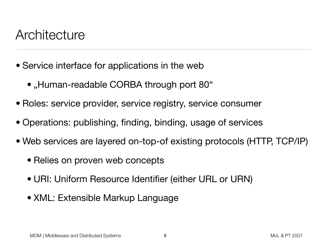#### **Architecture**

- Service interface for applications in the web
	- "Human-readable CORBA through port 80"
- Roles: service provider, service registry, service consumer
- Operations: publishing, finding, binding, usage of services
- Web services are layered on-top-of existing protocols (HTTP, TCP/IP)
	- Relies on proven web concepts
	- URI: Uniform Resource Identifier (either URL or URN)
	- XML: Extensible Markup Language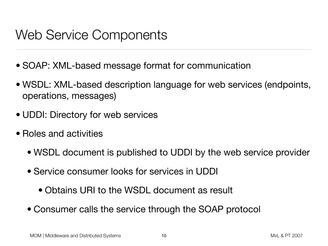## Web Service Components

- SOAP: XML-based message format for communication
- WSDL: XML-based description language for web services (endpoints, operations, messages)
- UDDI: Directory for web services
- Roles and activities
	- WSDL document is published to UDDI by the web service provider
	- Service consumer looks for services in UDDI
		- Obtains URI to the WSDL document as result
	- Consumer calls the service through the SOAP protocol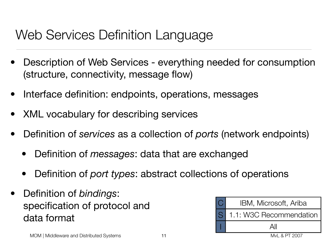## Web Services Definition Language

- Description of Web Services everything needed for consumption (structure, connectivity, message flow)
- Interface definition: endpoints, operations, messages
- XML vocabulary for describing services
- Definition of *services* as a collection of *ports* (network endpoints)
	- Definition of *messages*: data that are exchanged
	- Definition of *port types*: abstract collections of operations
- Definition of *bindings*: specification of protocol and data format

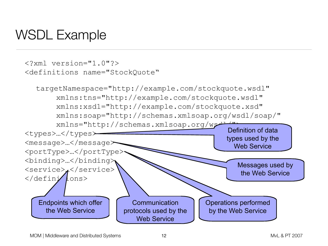## WSDL Example

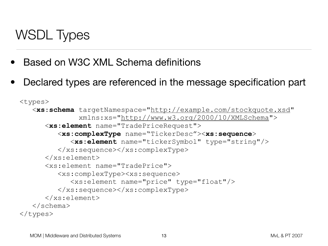# WSDL Types

- Based on W3C XML Schema definitions
- Declared types are referenced in the message specification part

```
<types>
    <xs:schema targetNamespace="http://example.com/stockquote.xsd"
               xmlns:xs="http://www.w3.org/2000/10/XMLSchema">
       <xs:element name="TradePriceRequest">
          <xs:complexType name="TickerDesc"><xs:sequence>
             <xs:element name="tickerSymbol" type="string"/>
          </xs:sequence></xs:complexType>
       </xs:element>
       <xs:element name="TradePrice">
          <xs:complexType><xs:sequence>
             <xs:element name="price" type="float"/>
          </xs:sequence></xs:complexType>
       </xs:element>
    </schema>
</types>
```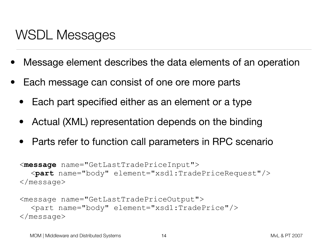## WSDL Messages

- Message element describes the data elements of an operation
- Each message can consist of one ore more parts
	- Each part specified either as an element or a type
	- Actual (XML) representation depends on the binding
	- Parts refer to function call parameters in RPC scenario

```
<message name="GetLastTradePriceInput">
  <part name="body" element="xsd1:TradePriceRequest"/>
</message>
```

```
<message name="GetLastTradePriceOutput">
  <part name="body" element="xsd1:TradePrice"/>
</message>
```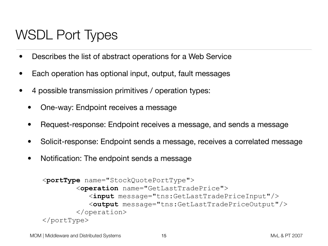## WSDL Port Types

- Describes the list of abstract operations for a Web Service
- Each operation has optional input, output, fault messages
- 4 possible transmission primitives / operation types:
	- One-way: Endpoint receives a message
	- Request-response: Endpoint receives a message, and sends a message
	- Solicit-response: Endpoint sends a message, receives a correlated message
	- Notification: The endpoint sends a message

```
<portType name="StockQuotePortType">
         <operation name="GetLastTradePrice">
            <input message="tns:GetLastTradePriceInput"/>
            <output message="tns:GetLastTradePriceOutput"/>
         </operation>
</portType>
```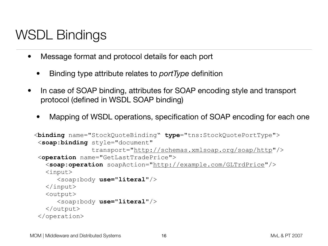# WSDL Bindings

- Message format and protocol details for each port
	- Binding type attribute relates to *portType* definition
- In case of SOAP binding, attributes for SOAP encoding style and transport protocol (defined in WSDL SOAP binding)
	- Mapping of WSDL operations, specification of SOAP encoding for each one

```
<binding name="StockQuoteBinding" type="tns:StockQuotePortType">
 <soap:binding style="document" 
                transport="http://schemas.xmlsoap.org/soap/http"/>
  <operation name="GetLastTradePrice">
    <soap:operation soapAction="http://example.com/GLTrdPrice"/>
    <input>
       <soap:body use="literal"/>
    </input>
    <output>
       <soap:body use="literal"/>
    </output>
 </operation>
```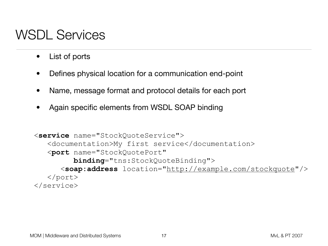## WSDL Services

- List of ports
- Defines physical location for a communication end-point
- Name, message format and protocol details for each port
- Again specific elements from WSDL SOAP binding

```
<service name="StockQuoteService">
    <documentation>My first service</documentation>
    <port name="StockQuotePort" 
          binding="tns:StockQuoteBinding">
       <soap:address location="http://example.com/stockquote"/>
    </port>
</service>
```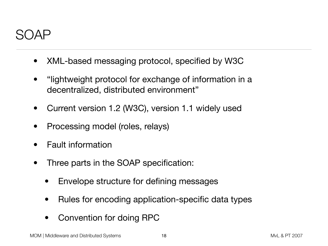#### SOAP

- XML-based messaging protocol, specified by W3C
- "lightweight protocol for exchange of information in a decentralized, distributed environment"
- Current version 1.2 (W3C), version 1.1 widely used
- Processing model (roles, relays)
- Fault information
- Three parts in the SOAP specification:
	- Envelope structure for defining messages
	- Rules for encoding application-specific data types
	- Convention for doing RPC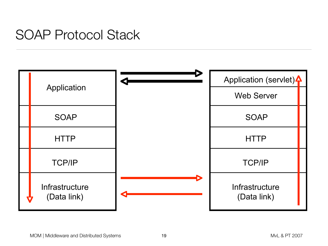### SOAP Protocol Stack

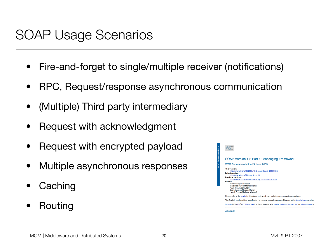## SOAP Usage Scenarios

- Fire-and-forget to single/multiple receiver (notifications)
- RPC, Request/response asynchronous communication
- (Multiple) Third party intermediary
- Request with acknowledgment
- Request with encrypted payload
- Multiple asynchronous responses
- **Caching**
- Routing

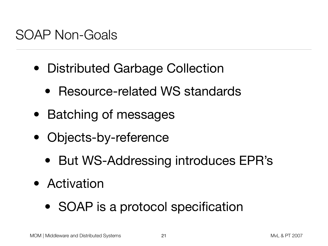### SOAP Non-Goals

- Distributed Garbage Collection
	- Resource-related WS standards
- Batching of messages
- Objects-by-reference
	- But WS-Addressing introduces EPR's
- Activation
	- SOAP is a protocol specification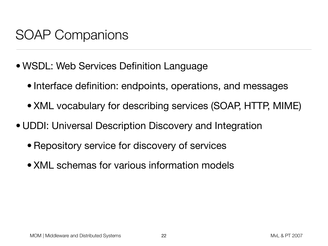## SOAP Companions

- WSDL: Web Services Definition Language
	- Interface definition: endpoints, operations, and messages
	- XML vocabulary for describing services (SOAP, HTTP, MIME)
- UDDI: Universal Description Discovery and Integration
	- Repository service for discovery of services
	- XML schemas for various information models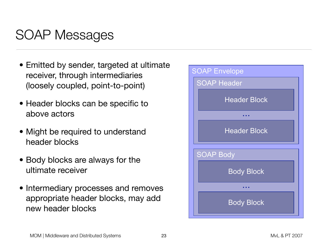## SOAP Messages

- Emitted by sender, targeted at ultimate receiver, through intermediaries (loosely coupled, point-to-point)
- Header blocks can be specific to above actors
- Might be required to understand header blocks
- Body blocks are always for the ultimate receiver
- Intermediary processes and removes appropriate header blocks, may add new header blocks

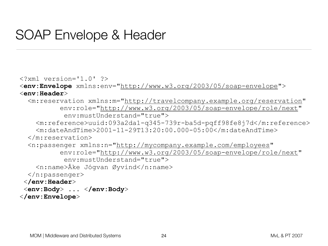### SOAP Envelope & Header

```
<?xml version='1.0' ?> 
<env:Envelope xmlns:env="http://www.w3.org/2003/05/soap-envelope"> 
<env:Header> 
   <m:reservation xmlns:m="http://travelcompany.example.org/reservation" 
           env:role="http://www.w3.org/2003/05/soap-envelope/role/next" 
            env:mustUnderstand="true"> 
     <m:reference>uuid:093a2da1-q345-739r-ba5d-pqff98fe8j7d</m:reference> 
     <m:dateAndTime>2001-11-29T13:20:00.000-05:00</m:dateAndTime> 
   </m:reservation> 
   <n:passenger xmlns:n="http://mycompany.example.com/employees" 
           env:role="http://www.w3.org/2003/05/soap-envelope/role/next" 
            env:mustUnderstand="true"> 
     <n:name>Åke Jógvan Øyvind</n:name> 
  \langle n:passenger\rangle </env:Header>
  <env:Body> ... </env:Body> 
</env:Envelope>
```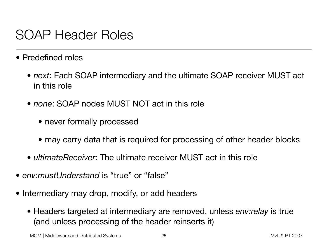### SOAP Header Roles

- Predefined roles
	- *next*: Each SOAP intermediary and the ultimate SOAP receiver MUST act in this role
	- *none*: SOAP nodes MUST NOT act in this role
		- never formally processed
		- may carry data that is required for processing of other header blocks
	- *ultimateReceiver*: The ultimate receiver MUST act in this role
- *env:mustUnderstand* is "true" or "false"
- Intermediary may drop, modify, or add headers
	- Headers targeted at intermediary are removed, unless *env:relay* is true (and unless processing of the header reinserts it)

MOM | Middleware and Distributed Systems 25 All 2007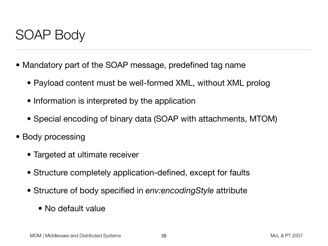#### SOAP Body

- Mandatory part of the SOAP message, predefined tag name
	- Payload content must be well-formed XML, without XML prolog
	- Information is interpreted by the application
	- Special encoding of binary data (SOAP with attachments, MTOM)
- Body processing
	- Targeted at ultimate receiver
	- Structure completely application-defined, except for faults
	- Structure of body specified in *env:encodingStyle* attribute
		- No default value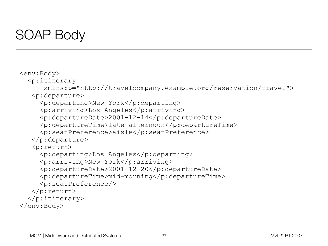## SOAP Body

<env:Body>  $< p$ : itinerary xmlns:p="[http://travelcompany.example.org/reservation/travel"](http://travelcompany.example.org/reservation/travel)> <p:departure> <p:departing>New York</p:departing> <p:arriving>Los Angeles</p:arriving> <p:departureDate>2001-12-14</p:departureDate> <p:departureTime>late afternoon</p:departureTime> <p:seatPreference>aisle</p:seatPreference> </p:departure> <p:return> <p:departing>Los Angeles</p:departing> <p:arriving>New York</p:arriving> <p:departureDate>2001-12-20</p:departureDate> <p:departureTime>mid-morning</p:departureTime>

```
 <p:seatPreference/>
```

```
 </p:return>
```

```
 </p:itinerary>
```

```
</env:Body>
```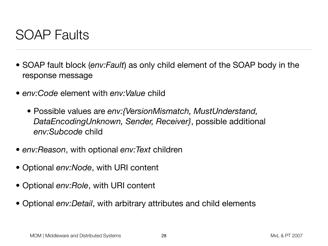### SOAP Faults

- SOAP fault block (*env:Fault*) as only child element of the SOAP body in the response message
- *env:Code* element with *env:Value* child
	- Possible values are *env:{VersionMismatch, MustUnderstand, DataEncodingUnknown, Sender, Receiver}*, possible additional *env:Subcode* child
- *env:Reason*, with optional *env:Text* children
- Optional *env:Node*, with URI content
- Optional *env:Role*, with URI content
- Optional *env:Detail*, with arbitrary attributes and child elements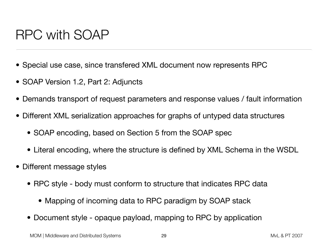## RPC with SOAP

- Special use case, since transfered XML document now represents RPC
- SOAP Version 1.2, Part 2: Adjuncts
- Demands transport of request parameters and response values / fault information
- Different XML serialization approaches for graphs of untyped data structures
	- SOAP encoding, based on Section 5 from the SOAP spec
	- Literal encoding, where the structure is defined by XML Schema in the WSDL
- Different message styles
	- RPC style body must conform to structure that indicates RPC data
		- Mapping of incoming data to RPC paradigm by SOAP stack
	- Document style opaque payload, mapping to RPC by application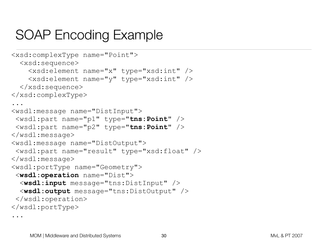## SOAP Encoding Example

```
<xsd:complexType name="Point">
   <xsd:sequence>
     <xsd:element name="x" type="xsd:int" />
     <xsd:element name="y" type="xsd:int" />
   </xsd:sequence>
</xsd:complexType>
...
<wsdl:message name="DistInput">
  <wsdl:part name="p1" type="tns:Point" />
  <wsdl:part name="p2" type="tns:Point" />
</wsdl:message>
<wsdl:message name="DistOutput">
  <wsdl:part name="result" type="xsd:float" />
</wsdl:message>
<wsdl:portType name="Geometry">
  <wsdl:operation name="Dist">
   <wsdl:input message="tns:DistInput" />
   <wsdl:output message="tns:DistOutput" />
  </wsdl:operation>
</wsdl:portType>
```
...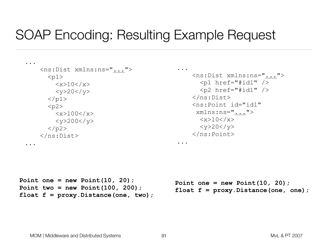### SOAP Encoding: Resulting Example Request

```
...
        <ns:Dist xmlns:ns="...">
           <p1>\langle x>10\langle x\rangle<y>20</y>
           \langle/p1>
           <p2>
               \langle x \rangle100\langle x \rangle\langle y \rangle 200 \langle y \rangle\langle/p2>
       \langle/ns:Dist\rangle
```
...

```
...
     <ns:Dist xmlns:ns="...">
       <p1 href="#id1" />
       <p2 href="#id1" />
    \langle/ns:Dist>
     <ns:Point id="id1"
       xmlns:ns="...">
       &lt;x>10</u><u><math>\times</math><y>20</y>
     </ns:Point>
```

```
Point one = new Point(10, 20);
Point two = new Point(100, 200);
float f = proxy.Distance(one, two);
```

```
Point one = new Point(10, 20);
float f = proxy.Distance(one, one);
```
...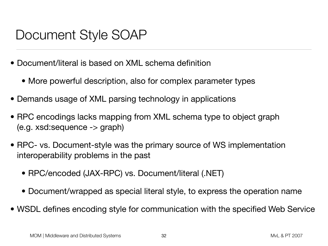## Document Style SOAP

- Document/literal is based on XML schema definition
	- More powerful description, also for complex parameter types
- Demands usage of XML parsing technology in applications
- RPC encodings lacks mapping from XML schema type to object graph (e.g. xsd:sequence -> graph)
- RPC- vs. Document-style was the primary source of WS implementation interoperability problems in the past
	- RPC/encoded (JAX-RPC) vs. Document/literal (.NET)
	- Document/wrapped as special literal style, to express the operation name
- WSDL defines encoding style for communication with the specified Web Service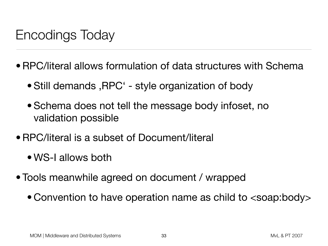# Encodings Today

- •RPC/literal allows formulation of data structures with Schema
	- Still demands, RPC' style organization of body
	- Schema does not tell the message body infoset, no validation possible
- •RPC/literal is a subset of Document/literal
	- WS-I allows both
- Tools meanwhile agreed on document / wrapped
	- Convention to have operation name as child to <soap:body>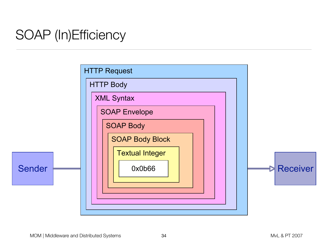# SOAP (In)Efficiency

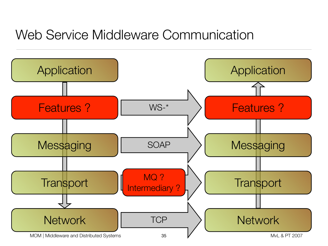## Web Service Middleware Communication

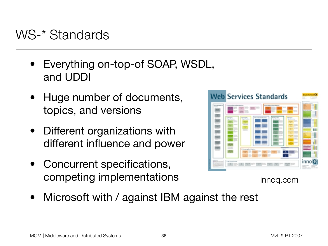### WS-\* Standards

- Everything on-top-of SOAP, WSDL, and UDDI
- Huge number of documents, topics, and versions
- Different organizations with different influence and power
- Concurrent specifications, competing implementations



innoq.com

Microsoft with / against IBM against the rest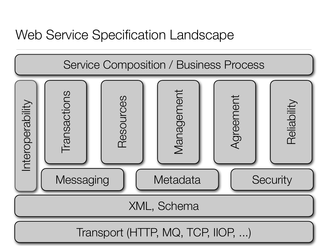### Web Service Specification Landscape

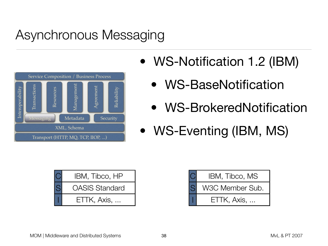# Asynchronous Messaging



- WS-Notification 1.2 (IBM)
	- WS-BaseNotification
	- WS-BrokeredNotification
- WS-Eventing (IBM, MS)

| IBM, Tibco, HP        |
|-----------------------|
| <b>OASIS Standard</b> |
| ETTK, Axis,           |

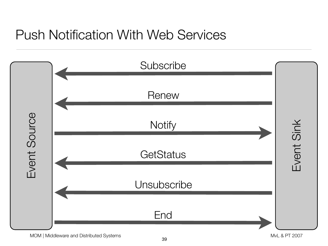## Push Notification With Web Services



MOM | Middleware and Distributed Systems and  $\sim$  2007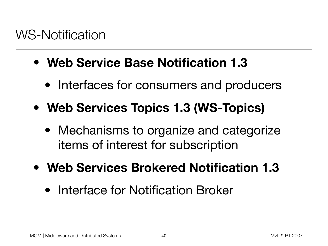- **Web Service Base Notification 1.3**
	- Interfaces for consumers and producers
- **Web Services Topics 1.3 (WS-Topics)**
	- Mechanisms to organize and categorize items of interest for subscription
- **Web Services Brokered Notification 1.3**
	- Interface for Notification Broker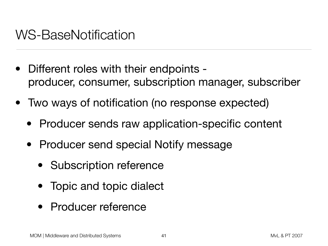### WS-BaseNotification

- Different roles with their endpoints producer, consumer, subscription manager, subscriber
- Two ways of notification (no response expected)
	- Producer sends raw application-specific content
	- Producer send special Notify message
		- Subscription reference
		- Topic and topic dialect
		- Producer reference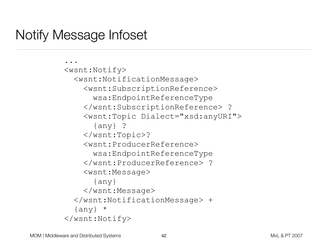### Notify Message Infoset

```
...
<wsnt:Notify>
   <wsnt:NotificationMessage>
     <wsnt:SubscriptionReference>
       wsa:EndpointReferenceType
     </wsnt:SubscriptionReference> ?
     <wsnt:Topic Dialect="xsd:anyURI">
       {any} ?
     </wsnt:Topic>?
     <wsnt:ProducerReference>
       wsa:EndpointReferenceType
     </wsnt:ProducerReference> ?
     <wsnt:Message>
       {any}
     </wsnt:Message>
   </wsnt:NotificationMessage> +
  \{any\} *
</wsnt:Notify>
```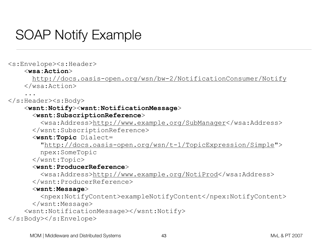## SOAP Notify Example

<s:Envelope><s:Header>

#### <**wsa:Action**>

 <http://docs.oasis-open.org/wsn/bw-2/NotificationConsumer/Notify> </wsa:Action>

#### ... </s:Header><s:Body>

#### <**wsnt:Notify**><**wsnt:NotificationMessage**>

#### <**wsnt:SubscriptionReference**>

 <wsa:Address[>http://www.example.org/SubManager<](http://www.example.org/SubscriptionManager)/wsa:Address> </wsnt:SubscriptionReference>

#### <**wsnt:Topic** Dialect=

 ["http://docs.oasis-open.org/wsn/t-1/TopicExpression/Simple"](http://docs.oasis-open.org/wsn/t-1/TopicExpression/Simple)> npex:SomeTopic

</wsnt:Topic>

#### <**wsnt:ProducerReference**>

 <wsa:Address[>http://www.example.org/NotiProd<](http://www.example.org/NotificationProducer)/wsa:Address> </wsnt:ProducerReference>

#### <**wsnt:Message**>

 <npex:NotifyContent>exampleNotifyContent</npex:NotifyContent> </wsnt:Message>

```
 <wsnt:NotificationMessage></wsnt:Notify>
```

```
</s:Body></s:Envelope>
```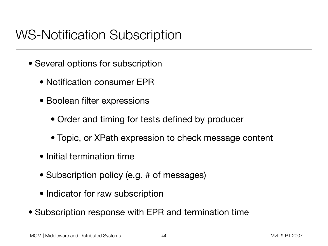## WS-Notification Subscription

- Several options for subscription
	- Notification consumer EPR
	- Boolean filter expressions
		- Order and timing for tests defined by producer
		- Topic, or XPath expression to check message content
	- Initial termination time
	- Subscription policy (e.g. # of messages)
	- Indicator for raw subscription
- Subscription response with EPR and termination time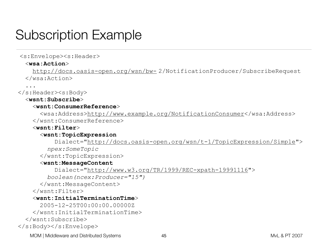## Subscription Example

#### <s:Envelope><s:Header>

#### <**wsa:Action**>

 [http://docs.oasis-open.org/wsn/bw-](http://docs.oasis-open.org/wsn/bw-729) 2/NotificationProducer/SubscribeRequest </wsa:Action>

...

#### $\langle$ s:Header> $\langle$ s:Body>

#### <**wsnt:Subscribe**>

#### <**wsnt:ConsumerReference**>

 <wsa:Address[>http://www.example.org/NotificationConsumer<](http://www.example.org/NotificationConsumer)/wsa:Address> </wsnt:ConsumerReference>

#### <**wsnt:Filter**>

#### <**wsnt:TopicExpression**

 Dialect=["http://docs.oasis-open.org/wsn/t-1/TopicExpression/Simple"](http://docs.oasis-open.org/wsn/t-1/TopicExpression/Simple)> *npex:SomeTopic*

</wsnt:TopicExpression>

#### <**wsnt:MessageContent**

Dialect=["http://www.w3.org/TR/1999/REC-xpath-19991116"](http://www.w3.org/TR/1999/REC-xpath-19991116)>

*boolean(ncex:Producer="15")*

</wsnt:MessageContent>

</wsnt:Filter>

#### <**wsnt:InitialTerminationTime**>

2005-12-25T00:00:00.00000Z

</wsnt:InitialTerminationTime>

</wsnt:Subscribe>

</s:Body></s:Envelope>

MOM | Middleware and Distributed Systems 45 And 1997 12007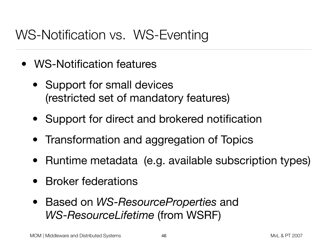### WS-Notification vs. WS-Eventing

- WS-Notification features
	- Support for small devices (restricted set of mandatory features)
	- Support for direct and brokered notification
	- Transformation and aggregation of Topics
	- Runtime metadata (e.g. available subscription types)
	- Broker federations
	- Based on *WS-ResourceProperties* and *WS-ResourceLifetime* (from WSRF)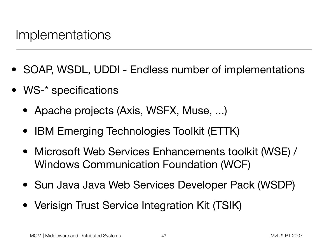#### Implementations

- SOAP, WSDL, UDDI Endless number of implementations
- WS-\* specifications
	- Apache projects (Axis, WSFX, Muse, ...)
	- **IBM Emerging Technologies Toolkit (ETTK)**
	- Microsoft Web Services Enhancements toolkit (WSE) / Windows Communication Foundation (WCF)
	- Sun Java Java Web Services Developer Pack (WSDP)
	- Verisign Trust Service Integration Kit (TSIK)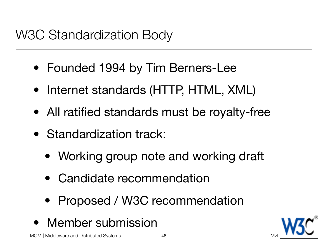## W3C Standardization Body

- Founded 1994 by Tim Berners-Lee
- Internet standards (HTTP, HTML, XML)
- All ratified standards must be royalty-free
- Standardization track:
	- Working group note and working draft
	- Candidate recommendation
	- Proposed / W3C recommendation
- Member submission

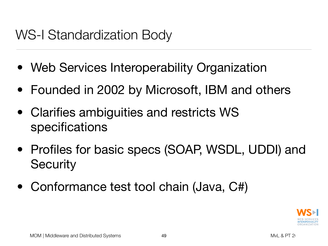## WS-I Standardization Body

- Web Services Interoperability Organization
- Founded in 2002 by Microsoft, IBM and others
- Clarifies ambiguities and restricts WS specifications
- Profiles for basic specs (SOAP, WSDL, UDDI) and **Security**
- Conformance test tool chain (Java, C#)

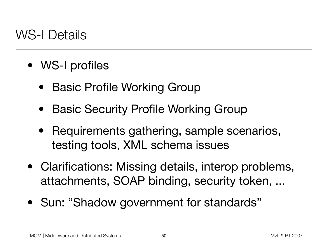### WS-I Details

- WS-I profiles
	- Basic Profile Working Group
	- Basic Security Profile Working Group
	- Requirements gathering, sample scenarios, testing tools, XML schema issues
- Clarifications: Missing details, interop problems, attachments, SOAP binding, security token, ...
- Sun: "Shadow government for standards"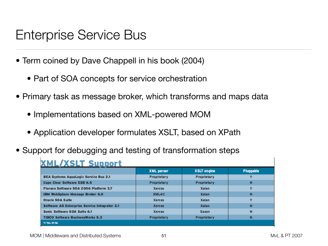### Enterprise Service Bus

- Term coined by Dave Chappell in his book (2004)
	- Part of SOA concepts for service orchestration
- Primary task as message broker, which transforms and maps data
	- Implementations based on XML-powered MOM
	- Application developer formulates XSLT, based on XPath
- Support for debugging and testing of transformation steps

#### **XML/XSLT Support**

|                                               | <b>XML</b> parser | <b>XSLT</b> engine | Pluggable |
|-----------------------------------------------|-------------------|--------------------|-----------|
| <b>BEA Systems AquaLogic Service Bus 2.1</b>  | Proprietary       | Proprietary        | v         |
| Cape Clear Software ESB 6.5                   | Proprietary       | Proprietary        | N         |
| Fiorano Software SOA 2006 Platform 3.7        | <b>Xerces</b>     | Xalan              | v         |
| IBM WebSphere Message Broker 6.0              | XML4C             | Xalan              | N         |
| Oracle SOA Suite                              | Xerces            | Xalan              | v         |
| Software AG Enterprise Service Integrator 2.1 | <b>Xerces</b>     | Xalan              | N         |
| Sonic Software SOA Suite 6.1                  | Xerces            | Saxon              | N         |
| <b>TIBCO Software BusinessWorks 5.3</b>       | Proprietary       | Proprietary        | N         |
| Y=Yes, N=No                                   |                   |                    |           |